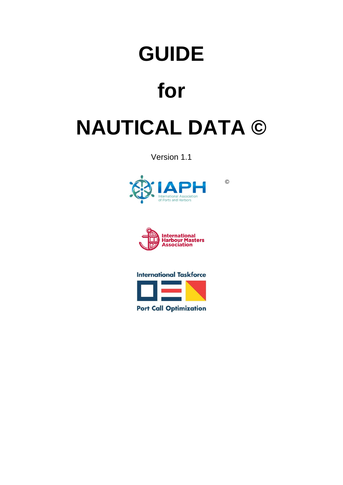# **GUIDE**

# **for**

# **NAUTICAL DATA ©**

Version 1.1



©





**Port Call Optimization**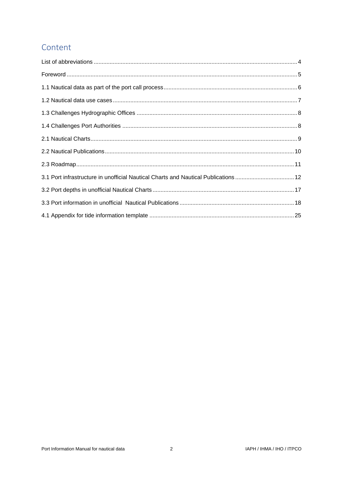# Content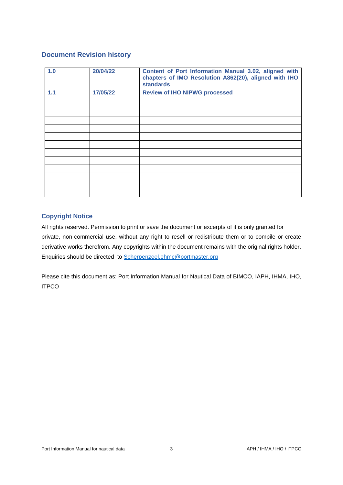# **Document Revision history**

| 1.0 | 20/04/22 | Content of Port Information Manual 3.02, aligned with<br>chapters of IMO Resolution A862(20), aligned with IHO<br><b>standards</b> |
|-----|----------|------------------------------------------------------------------------------------------------------------------------------------|
| 1.1 | 17/05/22 | <b>Review of IHO NIPWG processed</b>                                                                                               |
|     |          |                                                                                                                                    |
|     |          |                                                                                                                                    |
|     |          |                                                                                                                                    |
|     |          |                                                                                                                                    |
|     |          |                                                                                                                                    |
|     |          |                                                                                                                                    |
|     |          |                                                                                                                                    |
|     |          |                                                                                                                                    |
|     |          |                                                                                                                                    |
|     |          |                                                                                                                                    |
|     |          |                                                                                                                                    |
|     |          |                                                                                                                                    |

# **Copyright Notice**

All rights reserved. Permission to print or save the document or excerpts of it is only granted for private, non-commercial use, without any right to resell or redistribute them or to compile or create derivative works therefrom. Any copyrights within the document remains with the original rights holder. Enquiries should be directed to [Scherpenzeel.ehmc@portmaster.org](mailto:Scherpenzeel.ehmc@harbourmaster.org)

Please cite this document as: Port Information Manual for Nautical Data of BIMCO, IAPH, IHMA, IHO, ITPCO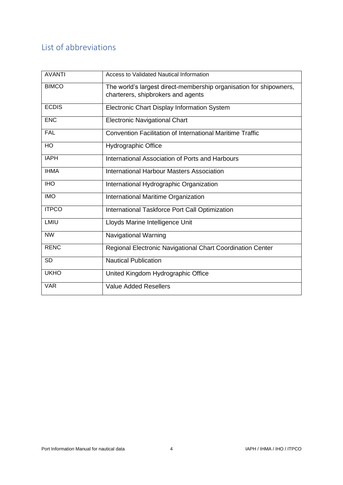# <span id="page-3-0"></span>List of abbreviations

| <b>AVANTI</b> | Access to Validated Nautical Information                           |
|---------------|--------------------------------------------------------------------|
| <b>BIMCO</b>  | The world's largest direct-membership organisation for shipowners, |
|               | charterers, shipbrokers and agents                                 |
| <b>ECDIS</b>  | Electronic Chart Display Information System                        |
| <b>ENC</b>    | <b>Electronic Navigational Chart</b>                               |
| <b>FAL</b>    | <b>Convention Facilitation of International Maritime Traffic</b>   |
| HO            | <b>Hydrographic Office</b>                                         |
| <b>IAPH</b>   | International Association of Ports and Harbours                    |
| <b>IHMA</b>   | International Harbour Masters Association                          |
| <b>IHO</b>    | International Hydrographic Organization                            |
| <b>IMO</b>    | International Maritime Organization                                |
| <b>ITPCO</b>  | International Taskforce Port Call Optimization                     |
| LMIU          | Lloyds Marine Intelligence Unit                                    |
| <b>NW</b>     | Navigational Warning                                               |
| <b>RENC</b>   | Regional Electronic Navigational Chart Coordination Center         |
| <b>SD</b>     | <b>Nautical Publication</b>                                        |
| <b>UKHO</b>   | United Kingdom Hydrographic Office                                 |
| <b>VAR</b>    | <b>Value Added Resellers</b>                                       |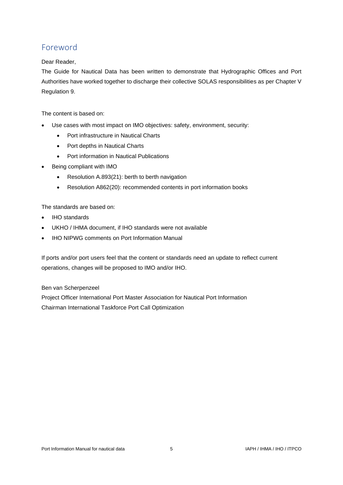# <span id="page-4-0"></span>Foreword

## Dear Reader,

The Guide for Nautical Data has been written to demonstrate that Hydrographic Offices and Port Authorities have worked together to discharge their collective SOLAS responsibilities as per Chapter V Regulation 9.

The content is based on:

- Use cases with most impact on IMO objectives: safety, environment, security:
	- Port infrastructure in Nautical Charts
	- Port depths in Nautical Charts
	- Port information in Nautical Publications
- Being compliant with IMO
	- Resolution A.893(21): berth to berth navigation
	- Resolution A862(20): recommended contents in port information books

The standards are based on:

- IHO standards
- UKHO / IHMA document, if IHO standards were not available
- IHO NIPWG comments on Port Information Manual

If ports and/or port users feel that the content or standards need an update to reflect current operations, changes will be proposed to IMO and/or IHO.

## Ben van Scherpenzeel

Project Officer International Port Master Association for Nautical Port Information Chairman International Taskforce Port Call Optimization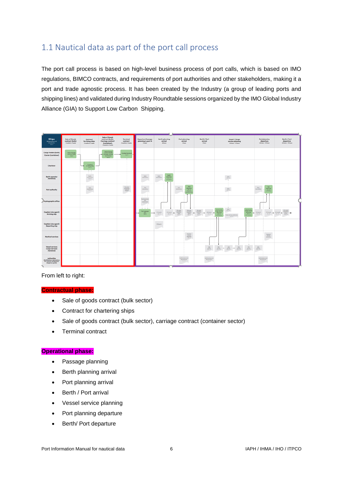# <span id="page-5-0"></span>1.1 Nautical data as part of the port call process

The port call process is based on high-level business process of port calls, which is based on IMO regulations, BIMCO contracts, and requirements of port authorities and other stakeholders, making it a port and trade agnostic process. It has been created by the Industry (a group of leading ports and shipping lines) and validated during Industry Roundtable sessions organized by the IMO Global Industry Alliance (GIA) to Support Low Carbon Shipping.

| $\underset{invariant and \\ \text{invariant}}{\text{Ships}}$<br>chec 6                                | <b>Sale of Goods</b><br>contract (bulk)<br>-Emerits to -Emerits | Controct<br>for hiring ships<br>-8 months to -8 months       | Sale of Goods<br>contract (bulk).<br>Carriage contract<br>(container).<br>disastate facets | Terminal<br>contract<br>-I member to -I mode                                                        | <b>Departure Possage</b><br>planning to port A<br>$-1$ and $4$ | Berth planning<br>orrived<br>-40 hours                                                                  | <b>Port planning</b><br>crrival<br>-3 hours                                                                                                                                                                                                                                                   | Berth / Port<br>arrival<br><b>Blows</b>                                                                                                                                                                         | Vessel / Cergo<br>service planning<br><b>Sithaw O'Cheva</b>                                                                                                                                                                                                       | <b>Port planning</b><br>departure<br>+1Khous - +12 hours                                   | Berth / Part<br>departure<br><b>ADE house - ATE hours</b>                                                                                                                                     |
|-------------------------------------------------------------------------------------------------------|-----------------------------------------------------------------|--------------------------------------------------------------|--------------------------------------------------------------------------------------------|-----------------------------------------------------------------------------------------------------|----------------------------------------------------------------|---------------------------------------------------------------------------------------------------------|-----------------------------------------------------------------------------------------------------------------------------------------------------------------------------------------------------------------------------------------------------------------------------------------------|-----------------------------------------------------------------------------------------------------------------------------------------------------------------------------------------------------------------|-------------------------------------------------------------------------------------------------------------------------------------------------------------------------------------------------------------------------------------------------------------------|--------------------------------------------------------------------------------------------|-----------------------------------------------------------------------------------------------------------------------------------------------------------------------------------------------|
| Corgo traders (bulk)<br>Camler (container)                                                            | Sale of Goods<br>DAvid tushess<br>$-$                           |                                                              | Sole of Goods<br>contract (louk).<br>Contage centred<br><b>burisked</b><br><b>Change</b>   | Contract to minor<br><b>But If</b><br>$\rightarrow$                                                 |                                                                |                                                                                                         |                                                                                                                                                                                                                                                                                               |                                                                                                                                                                                                                 |                                                                                                                                                                                                                                                                   |                                                                                            |                                                                                                                                                                                               |
| Charlerer                                                                                             |                                                                 | Contract<br><b>No Midro ships</b><br><b>Back</b><br>$\cdots$ |                                                                                            |                                                                                                     |                                                                |                                                                                                         |                                                                                                                                                                                                                                                                                               |                                                                                                                                                                                                                 |                                                                                                                                                                                                                                                                   |                                                                                            |                                                                                                                                                                                               |
| <b>Berth</b> operator<br>(terminal)                                                                   |                                                                 | $\frac{\text{Inch}}{\text{infinite}}$<br>Sea 14<br>÷         |                                                                                            |                                                                                                     | $\frac{\ln n}{\ln \ln n}$                                      | <b>Burdt</b><br>Jack.<br>ploming<br><b>Information</b><br>$\mathcal{B} = \mathcal{B}$<br><b>Chillen</b> |                                                                                                                                                                                                                                                                                               |                                                                                                                                                                                                                 | $\frac{325}{\alpha=22}$                                                                                                                                                                                                                                           |                                                                                            |                                                                                                                                                                                               |
| Part authority                                                                                        |                                                                 | $\frac{\text{Edd}}{\text{m}$<br>Des G                        |                                                                                            | $\begin{array}{r} \text{Notations} \\ \text{landians} \\ \text{andness} \\ \text{case} \end{array}$ | Post .<br>information:                                         |                                                                                                         | Port<br>aturnitius<br>plassing<br>Eliabia<br>and make                                                                                                                                                                                                                                         |                                                                                                                                                                                                                 | $\frac{\partial \Omega}{\partial m^2}$                                                                                                                                                                                                                            | $\frac{\text{Part}}{\text{photon}}$<br>hat<br>Internation<br>$rac{40 + 10}{112 + 14 + 10}$ |                                                                                                                                                                                               |
| Hydrographic office                                                                                   |                                                                 |                                                              |                                                                                            |                                                                                                     | Nazfastidaga<br>adjusters<br>$Im\Omega$                        |                                                                                                         |                                                                                                                                                                                                                                                                                               |                                                                                                                                                                                                                 |                                                                                                                                                                                                                                                                   |                                                                                            |                                                                                                                                                                                               |
| Coptain (via ogent)<br><b>Arriving ship</b>                                                           |                                                                 |                                                              |                                                                                            |                                                                                                     | $-1$<br><b>Pur possage</b><br>$\frac{1}{\Delta m+1}$           | FOLService.<br><b>CAlerta</b><br>÷<br>die 19<br>$\Delta=1.2$                                            | $\begin{array}{l} \underline{\text{EBasis}}\\ \underline{\text{length}}\\ \underline{\text{dist}}\\ \underline{\text{dist}}\\ \underline{\text{dist}}\\ \end{array}$<br>$\begin{array}{r} \text{Eibabid} \\ \text{boundary} \\ \text{first} \\ \text{first} \\ \text{first} \end{array}$<br>÷ | $\begin{array}{l} \frac{\delta D_{13} \delta_{12} t}{\log \omega_{12}} \\ \frac{\delta D_{12} \delta_{12}}{\log \omega_{12}} \end{array} \label{eq:11}$<br>$\rightarrow$ $^{40,5\pm0.5}_{-50,22}$ $\rightarrow$ | $\frac{523}{\rho_{\rm{m}}\rho_{\rm{0}}}$<br>Vessland<br><b>Viewell and</b><br>orga sanaka<br>  planning<br>  Cha.7)<br>corpo service<br>phanolog<br>×.<br>$p_{\text{max}}(t)$<br>Creat and hour planning<br><b>EL service</b><br><b>CHARA</b><br>$\mu_{\rm H}$ 10 | $112$ bm/h<br>$O(n+1)$                                                                     | <b>Kitabl</b><br>$\begin{array}{ccc} \text{Filishel} & = & \text{Filishel} & = & \frac{\text{Kallish}}{\text{Noh}} & = \\ & \text{fccH} & = & \frac{\text{Msh}}{\text{NohH}} & = \end{array}$ |
| Coptain (via ogent)<br>Departing ship                                                                 |                                                                 |                                                              |                                                                                            |                                                                                                     |                                                                | filiam.<br>●                                                                                            |                                                                                                                                                                                                                                                                                               |                                                                                                                                                                                                                 |                                                                                                                                                                                                                                                                   |                                                                                            |                                                                                                                                                                                               |
| <b>Noutical services</b>                                                                              |                                                                 |                                                              |                                                                                            |                                                                                                     |                                                                |                                                                                                         | <b>Nautical</b><br>service.<br>$\frac{\text{maxima}}{\text{lim in}}$                                                                                                                                                                                                                          |                                                                                                                                                                                                                 |                                                                                                                                                                                                                                                                   | $\frac{34 \pi F \sigma^2}{300 \pi^2 \sigma^2}$<br>stering                                  |                                                                                                                                                                                               |
| <b>Vessel services</b><br>Cargo services<br>(terminal)                                                |                                                                 |                                                              |                                                                                            |                                                                                                     |                                                                |                                                                                                         |                                                                                                                                                                                                                                                                                               | $\frac{\text{LIB}}{\text{pion} \log n}$                                                                                                                                                                         | $\lim_{\beta\to\beta\gamma} \quad = \quad \lim_{\beta\to\beta\gamma} \quad =$<br>$\frac{\text{ES}}{\text{pass}}$<br>$\frac{\text{ES}}{\text{pump}}$                                                                                                               | $\frac{E\mathbf{S}}{\mu\omega\log}$                                                        |                                                                                                                                                                                               |
| <b>Authorities</b><br>(Multifications, declarations)<br>for cyclone, immigration,<br>dangerous goods) |                                                                 |                                                              |                                                                                            |                                                                                                     |                                                                |                                                                                                         | <b>Software</b> and<br>delastics<br>$\sim$                                                                                                                                                                                                                                                    | Notifications and<br>Dec 12                                                                                                                                                                                     |                                                                                                                                                                                                                                                                   | Notifications and<br>$\Omega=30$                                                           |                                                                                                                                                                                               |

From left to right:

# **Contractual phase:**

- Sale of goods contract (bulk sector)
- Contract for chartering ships
- Sale of goods contract (bulk sector), carriage contract (container sector)
- Terminal contract

#### **Operational phase:**

- Passage planning
- Berth planning arrival
- Port planning arrival
- Berth / Port arrival
- Vessel service planning
- Port planning departure
- Berth/ Port departure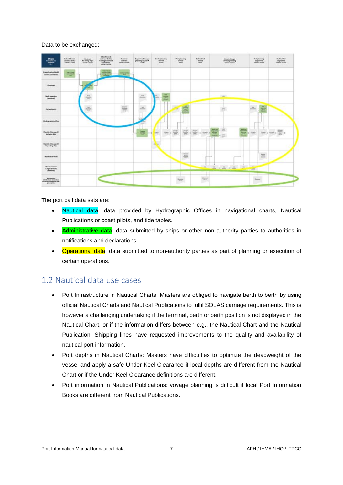### Data to be exchanged:

| Ships <sub>-</sub><br>--<br>$-$                                                                 | <b>Sale of Group</b><br>contract (India)       | Contract<br><b>Ret horsey ships</b><br><b>Contract Contract</b> | <b>Tale of Goods</b><br>smelved Dark's<br>Carriage contract<br>Contratues<br><b>Basillon Faste</b> | Terminal<br>central.  | <b>Departure Penange</b><br>planning to part A | <b>Barth planning</b><br>arrival<br>and base.               | <b>Port planning</b><br>writed.<br>other.         | Barth / Part<br>arrival<br><b>That</b> | $\begin{array}{l} \textbf{W} \textbf{cosat} \, \textit{f} \textbf{ (sup)} \\ \textbf{arccosat} \textbf{ph} \textbf{arccosat} \end{array}$ | <b>Part planning</b><br>departure | Berlin / Burl<br>departure                                              |
|-------------------------------------------------------------------------------------------------|------------------------------------------------|-----------------------------------------------------------------|----------------------------------------------------------------------------------------------------|-----------------------|------------------------------------------------|-------------------------------------------------------------|---------------------------------------------------|----------------------------------------|-------------------------------------------------------------------------------------------------------------------------------------------|-----------------------------------|-------------------------------------------------------------------------|
| Corps freelers (Sofk)<br>Carlos topolated                                                       | town this seal.<br><b><i><u>CHANGE</u></i></b> |                                                                 | $\frac{1}{\sqrt{2}}$<br>-                                                                          | <b>TERRITORY</b><br>- |                                                |                                                             |                                                   |                                        |                                                                                                                                           |                                   |                                                                         |
| Charless                                                                                        |                                                | <b>SE</b><br>×                                                  |                                                                                                    |                       |                                                |                                                             |                                                   |                                        |                                                                                                                                           |                                   |                                                                         |
| <b>Back operator</b><br>Permanel                                                                |                                                | 3d<br>÷                                                         |                                                                                                    |                       | me.<br>--                                      | 壹                                                           |                                                   |                                        |                                                                                                                                           |                                   |                                                                         |
| Port authority                                                                                  |                                                | $\rightarrow$<br><b><i><u>STATE</u></i></b>                     |                                                                                                    | 等                     |                                                |                                                             | <b>AND</b><br>₩<br><b>Charles</b><br><b>STARR</b> |                                        | $\frac{1}{2}$<br>144.60                                                                                                                   | ž                                 |                                                                         |
| Hydrographic office                                                                             |                                                |                                                                 |                                                                                                    |                       | $+ - +$                                        |                                                             |                                                   |                                        |                                                                                                                                           |                                   |                                                                         |
| Cognide (via agent)<br>Amhring ship                                                             |                                                |                                                                 |                                                                                                    |                       | 幂<br>÷<br>÷                                    | $\frac{2\pi i\omega\hbar}{\omega\omega\hbar}$<br><b>PAR</b> | 莹<br>兽<br>٠<br>×                                  | $\overline{\Xi}$ - $\overline{\Xi}$    | Δ<br>Ë<br>$\frac{1}{\sqrt{2}}$<br>٠                                                                                                       | $-104$                            | $\frac{m_{\rm eff}}{m_{\rm eff}}$ , $\frac{m_{\rm eff}}{m_{\rm eff}}$ , |
| Capitalis (vite agent)<br>Departing ship                                                        |                                                |                                                                 |                                                                                                    |                       |                                                | ٦                                                           |                                                   |                                        |                                                                                                                                           |                                   |                                                                         |
| <b>Number we vices</b>                                                                          |                                                |                                                                 |                                                                                                    |                       |                                                |                                                             | E.                                                |                                        |                                                                                                                                           | 旨                                 |                                                                         |
| Vessel services<br>Corgo services                                                               |                                                |                                                                 |                                                                                                    |                       |                                                |                                                             |                                                   |                                        |                                                                                                                                           | $\frac{1}{2}$                     |                                                                         |
| Automatics.<br><b>UnitStation, Motorships</b><br>thi contenus insideration, das-<br>powerprint. |                                                |                                                                 |                                                                                                    |                       |                                                |                                                             | $\frac{1}{2}$                                     | Page 1                                 |                                                                                                                                           | 2000                              |                                                                         |

#### The port call data sets are:

- Nautical data: data provided by Hydrographic Offices in navigational charts, Nautical Publications or coast pilots, and tide tables.
- Administrative data: data submitted by ships or other non-authority parties to authorities in notifications and declarations.
- Operational data: data submitted to non-authority parties as part of planning or execution of certain operations.

# <span id="page-6-0"></span>1.2 Nautical data use cases

- Port Infrastructure in Nautical Charts: Masters are obliged to navigate berth to berth by using official Nautical Charts and Nautical Publications to fulfil SOLAS carriage requirements. This is however a challenging undertaking if the terminal, berth or berth position is not displayed in the Nautical Chart, or if the information differs between e.g., the Nautical Chart and the Nautical Publication. Shipping lines have requested improvements to the quality and availability of nautical port information.
- Port depths in Nautical Charts: Masters have difficulties to optimize the deadweight of the vessel and apply a safe Under Keel Clearance if local depths are different from the Nautical Chart or if the Under Keel Clearance definitions are different.
- Port information in Nautical Publications: voyage planning is difficult if local Port Information Books are different from Nautical Publications.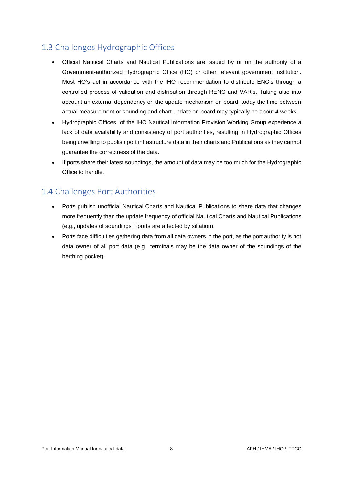# <span id="page-7-0"></span>1.3 Challenges Hydrographic Offices

- Official Nautical Charts and Nautical Publications are issued by or on the authority of a Government-authorized Hydrographic Office (HO) or other relevant government institution. Most HO's act in accordance with the IHO recommendation to distribute ENC's through a controlled process of validation and distribution through RENC and VAR's. Taking also into account an external dependency on the update mechanism on board, today the time between actual measurement or sounding and chart update on board may typically be about 4 weeks.
- Hydrographic Offices of the IHO Nautical Information Provision Working Group experience a lack of data availability and consistency of port authorities, resulting in Hydrographic Offices being unwilling to publish port infrastructure data in their charts and Publications as they cannot guarantee the correctness of the data.
- If ports share their latest soundings, the amount of data may be too much for the Hydrographic Office to handle.

# <span id="page-7-1"></span>1.4 Challenges Port Authorities

- Ports publish unofficial Nautical Charts and Nautical Publications to share data that changes more frequently than the update frequency of official Nautical Charts and Nautical Publications (e.g., updates of soundings if ports are affected by siltation).
- Ports face difficulties gathering data from all data owners in the port, as the port authority is not data owner of all port data (e.g., terminals may be the data owner of the soundings of the berthing pocket).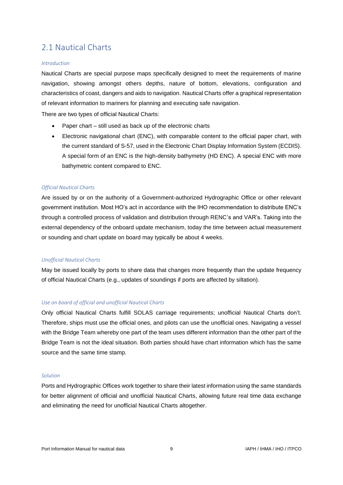# <span id="page-8-0"></span>2.1 Nautical Charts

#### *Introduction*

Nautical Charts are special purpose maps specifically designed to meet the requirements of marine navigation, showing amongst others depths, nature of bottom, elevations, configuration and characteristics of coast, dangers and aids to navigation. Nautical Charts offer a graphical representation of relevant information to mariners for planning and executing safe navigation.

There are two types of official Nautical Charts:

- Paper chart still used as back up of the electronic charts
- Electronic navigational chart (ENC), with comparable content to the official paper chart, with the current standard of S-57, used in the Electronic Chart Display Information System (ECDIS). A special form of an ENC is the high-density bathymetry (HD ENC). A special ENC with more bathymetric content compared to ENC.

#### *Official Nautical Charts*

Are issued by or on the authority of a Government-authorized Hydrographic Office or other relevant government institution. Most HO's act in accordance with the IHO recommendation to distribute ENC's through a controlled process of validation and distribution through RENC's and VAR's. Taking into the external dependency of the onboard update mechanism, today the time between actual measurement or sounding and chart update on board may typically be about 4 weeks.

#### *Unofficial Nautical Charts*

May be issued locally by ports to share data that changes more frequently than the update frequency of official Nautical Charts (e.g., updates of soundings if ports are affected by siltation).

#### *Use on board of official and unofficial Nautical Charts*

Only official Nautical Charts fulfill SOLAS carriage requirements; unofficial Nautical Charts don't. Therefore, ships must use the official ones, and pilots can use the unofficial ones. Navigating a vessel with the Bridge Team whereby one part of the team uses different information than the other part of the Bridge Team is not the ideal situation. Both parties should have chart information which has the same source and the same time stamp.

#### *Solution*

Ports and Hydrographic Offices work together to share their latest information using the same standards for better alignment of official and unofficial Nautical Charts, allowing future real time data exchange and eliminating the need for unofficial Nautical Charts altogether.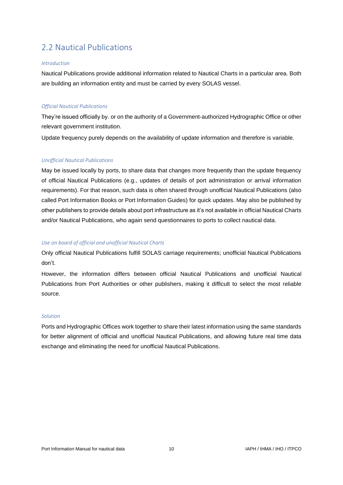# <span id="page-9-0"></span>2.2 Nautical Publications

#### *Introduction*

Nautical Publications provide additional information related to Nautical Charts in a particular area. Both are building an information entity and must be carried by every SOLAS vessel.

#### *Official Nautical Publications*

They're issued officially by. or on the authority of a Government-authorized Hydrographic Office or other relevant government institution.

Update frequency purely depends on the availability of update information and therefore is variable.

#### *Unofficial Nautical Publications*

May be issued locally by ports, to share data that changes more frequently than the update frequency of official Nautical Publications (e.g., updates of details of port administration or arrival information requirements). For that reason, such data is often shared through unofficial Nautical Publications (also called Port Information Books or Port Information Guides) for quick updates. May also be published by other publishers to provide details about port infrastructure as it's not available in official Nautical Charts and/or Nautical Publications, who again send questionnaires to ports to collect nautical data.

#### *Use on board of official and unofficial Nautical Charts*

Only official Nautical Publications fulfill SOLAS carriage requirements; unofficial Nautical Publications don't.

However, the information differs between official Nautical Publications and unofficial Nautical Publications from Port Authorities or other publishers, making it difficult to select the most reliable source.

#### *Solution*

Ports and Hydrographic Offices work together to share their latest information using the same standards for better alignment of official and unofficial Nautical Publications, and allowing future real time data exchange and eliminating the need for unofficial Nautical Publications.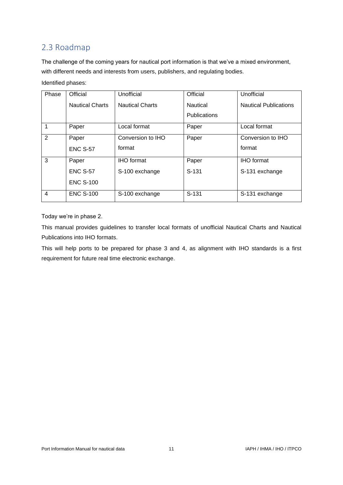# <span id="page-10-0"></span>2.3 Roadmap

The challenge of the coming years for nautical port information is that we've a mixed environment, with different needs and interests from users, publishers, and regulating bodies.

## Identified phases:

| Phase                   | Official               | Unofficial             | Official            | Unofficial                   |
|-------------------------|------------------------|------------------------|---------------------|------------------------------|
|                         | <b>Nautical Charts</b> | <b>Nautical Charts</b> | <b>Nautical</b>     | <b>Nautical Publications</b> |
|                         |                        |                        | <b>Publications</b> |                              |
|                         | Paper                  | Local format           | Paper               | Local format                 |
| $\overline{2}$          | Paper                  | Conversion to IHO      | Paper               | Conversion to IHO            |
|                         | <b>ENC S-57</b>        | format                 |                     | format                       |
| 3                       | Paper                  | <b>IHO</b> format      | Paper               | <b>IHO</b> format            |
|                         | <b>ENC S-57</b>        | S-100 exchange         | $S-131$             | S-131 exchange               |
|                         | <b>ENC S-100</b>       |                        |                     |                              |
| $\overline{\mathbf{4}}$ | <b>ENC S-100</b>       | S-100 exchange         | $S-131$             | S-131 exchange               |

Today we're in phase 2.

This manual provides guidelines to transfer local formats of unofficial Nautical Charts and Nautical Publications into IHO formats.

This will help ports to be prepared for phase 3 and 4, as alignment with IHO standards is a first requirement for future real time electronic exchange.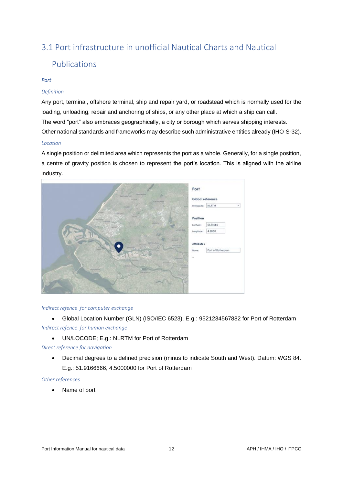# <span id="page-11-0"></span>3.1 Port infrastructure in unofficial Nautical Charts and Nautical

# Publications

## *Port*

## *Definition*

Any port, terminal, offshore terminal, ship and repair yard, or roadstead which is normally used for the loading, unloading, repair and anchoring of ships, or any other place at which a ship can call. The word "port" also embraces geographically, a city or borough which serves shipping interests. Other national standards and frameworks may describe such administrative entities already (IHO S-32).

#### *Location*

A single position or delimited area which represents the port as a whole. Generally, for a single position, a centre of gravity position is chosen to represent the port's location. This is aligned with the airline industry.



#### *Indirect refence for computer exchange*

• Global Location Number (GLN) (ISO/IEC 6523). E.g.: 9521234567882 for Port of Rotterdam *Indirect refence for human exchange*

• UN/LOCODE; E.g.: NLRTM for Port of Rotterdam

## *Direct reference for navigation*

• Decimal degrees to a defined precision (minus to indicate South and West). Datum: WGS 84. E.g.: 51.9166666, 4.5000000 for Port of Rotterdam

#### *Other references*

• Name of port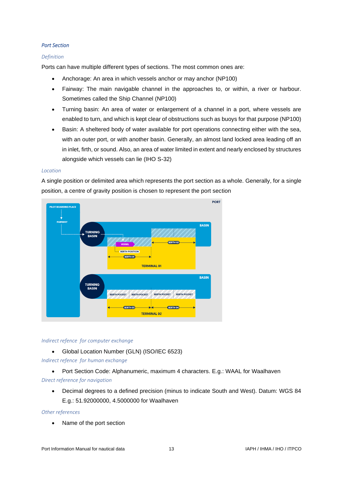#### *Port Section*

#### *Definition*

Ports can have multiple different types of sections. The most common ones are:

- Anchorage: An area in which vessels anchor or may anchor (NP100)
- Fairway: The main navigable channel in the approaches to, or within, a river or harbour. Sometimes called the Ship Channel (NP100)
- Turning basin: An area of water or enlargement of a channel in a port, where vessels are enabled to turn, and which is kept clear of obstructions such as buoys for that purpose (NP100)
- Basin: A sheltered body of water available for port operations connecting either with the sea, with an outer port, or with another basin. Generally, an almost land locked area leading off an in inlet, firth, or sound. Also, an area of water limited in extent and nearly enclosed by structures alongside which vessels can lie (IHO S-32)

#### *Location*

A single position or delimited area which represents the port section as a whole. Generally, for a single position, a centre of gravity position is chosen to represent the port section



#### *Indirect refence for computer exchange*

• Global Location Number (GLN) (ISO/IEC 6523)

*Indirect refence for human exchange*

- Port Section Code: Alphanumeric, maximum 4 characters. E.g.: WAAL for Waalhaven *Direct reference for navigation*
	- Decimal degrees to a defined precision (minus to indicate South and West). Datum: WGS 84 E.g.: 51.92000000, 4.5000000 for Waalhaven

#### *Other references*

• Name of the port section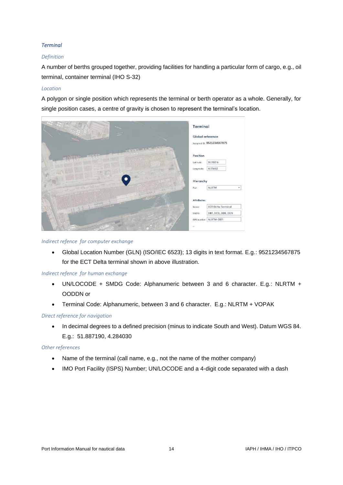## *Terminal*

## *Definition*

A number of berths grouped together, providing facilities for handling a particular form of cargo, e.g., oil terminal, container terminal (IHO S-32)

## *Location*

A polygon or single position which represents the terminal or berth operator as a whole. Generally, for single position cases, a centre of gravity is chosen to represent the terminal's location.



#### *Indirect refence for computer exchange*

• Global Location Number (GLN) (ISO/IEC 6523); 13 digits in text format. E.g.: 9521234567875 for the ECT Delta terminal shown in above illustration.

## *Indirect refence for human exchange*

- UN/LOCODE + SMDG Code: Alphanumeric between 3 and 6 character. E.g.: NLRTM + OODDN or
- Terminal Code: Alphanumeric, between 3 and 6 character. E.g.: NLRTM + VOPAK

## *Direct reference for navigation*

• In decimal degrees to a defined precision (minus to indicate South and West). Datum WGS 84. E.g.: 51.887190, 4.284030

## *Other references*

- Name of the terminal (call name, e.g., not the name of the mother company)
- IMO Port Facility (ISPS) Number; UN/LOCODE and a 4-digit code separated with a dash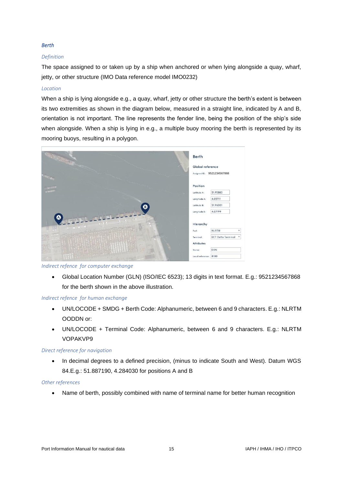#### *Berth*

### *Definition*

The space assigned to or taken up by a ship when anchored or when lying alongside a quay, wharf, jetty, or other structure (IMO Data reference model IMO0232)

#### *Location*

When a ship is lying alongside e.g., a quay, wharf, jetty or other structure the berth's extent is between its two extremities as shown in the diagram below, measured in a straight line, indicated by A and B, orientation is not important. The line represents the fender line, being the position of the ship's side when alongside. When a ship is lying in e.g., a multiple buoy mooring the berth is represented by its mooring buoys, resulting in a polygon.



*Indirect refence for computer exchange*

• Global Location Number (GLN) (ISO/IEC 6523); 13 digits in text format. E.g.: 9521234567868 for the berth shown in the above illustration.

#### *Indirect refence for human exchange*

- UN/LOCODE + SMDG + Berth Code: Alphanumeric, between 6 and 9 characters. E.g.: NLRTM OODDN or:
- UN/LOCODE + Terminal Code: Alphanumeric, between 6 and 9 characters. E.g.: NLRTM VOPAKVP9

#### *Direct reference for navigation*

• In decimal degrees to a defined precision, (minus to indicate South and West). Datum WGS 84.E.g.: 51.887190, 4.284030 for positions A and B

#### *Other references*

• Name of berth, possibly combined with name of terminal name for better human recognition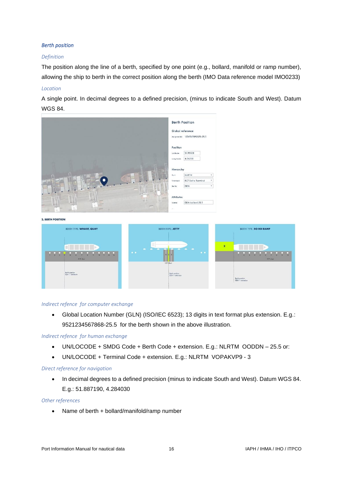### *Berth position*

#### *Definition*

The position along the line of a berth, specified by one point (e.g., bollard, manifold or ramp number), allowing the ship to berth in the correct position along the berth (IMO Data reference model IMO0233)

#### *Location*

A single point. In decimal degrees to a defined precision, (minus to indicate South and West). Datum WGS 84.



2. BERTH POSITION



#### *Indirect refence for computer exchange*

• Global Location Number (GLN) (ISO/IEC 6523); 13 digits in text format plus extension. E.g.: 9521234567868-25.5 for the berth shown in the above illustration.

#### *Indirect refence for human exchange*

- UN/LOCODE + SMDG Code + Berth Code + extension. E.g.: NLRTM OODDN 25.5 or:
- UN/LOCODE + Terminal Code + extension. E.g.: NLRTM VOPAKVP9 3

#### *Direct reference for navigation*

• In decimal degrees to a defined precision (minus to indicate South and West). Datum WGS 84. E.g.: 51.887190, 4.284030

#### *Other references*

• Name of berth + bollard/manifold/ramp number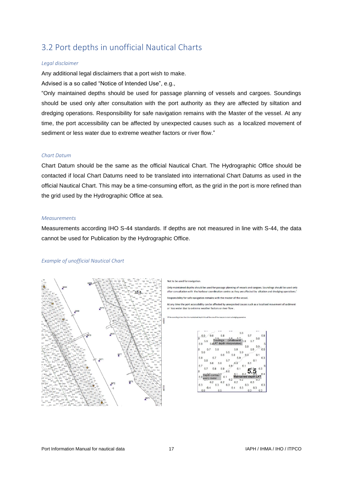# <span id="page-16-0"></span>3.2 Port depths in unofficial Nautical Charts

#### *Legal disclaimer*

Any additional legal disclaimers that a port wish to make.

Advised is a so called "Notice of Intended Use", e.g.,

"Only maintained depths should be used for passage planning of vessels and cargoes. Soundings should be used only after consultation with the port authority as they are affected by siltation and dredging operations. Responsibility for safe navigation remains with the Master of the vessel. At any time, the port accessibility can be affected by unexpected causes such as a localized movement of sediment or less water due to extreme weather factors or river flow."

#### *Chart Datum*

Chart Datum should be the same as the official Nautical Chart. The Hydrographic Office should be contacted if local Chart Datums need to be translated into international Chart Datums as used in the official Nautical Chart. This may be a time-consuming effort, as the grid in the port is more refined than the grid used by the Hydrographic Office at sea.

#### *Measurements*

Measurements according IHO S-44 standards. If depths are not measured in line with S-44, the data cannot be used for Publication by the Hydrographic Office.

#### *Example of unofficial Nautical Chart*



Only maintained depths should be used for passage planning of vessels and cargoes. Soundings should be used only after consultation with the harbour coordination centre as they are affected by siltation and dredging operations

nsibility for safe navigation remains with the master of the vessel. Respo

At any time the port accessibility can be affected by unexpected causes such as a localised movement of sedimen water due to extreme weather factors or river flow

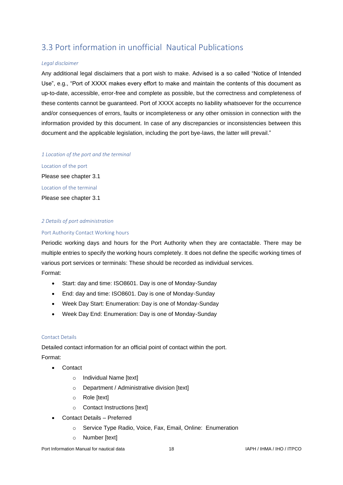# <span id="page-17-0"></span>3.3 Port information in unofficial Nautical Publications

#### *Legal disclaimer*

Any additional legal disclaimers that a port wish to make. Advised is a so called "Notice of Intended Use", e.g., "Port of XXXX makes every effort to make and maintain the contents of this document as up-to-date, accessible, error-free and complete as possible, but the correctness and completeness of these contents cannot be guaranteed. Port of XXXX accepts no liability whatsoever for the occurrence and/or consequences of errors, faults or incompleteness or any other omission in connection with the information provided by this document. In case of any discrepancies or inconsistencies between this document and the applicable legislation, including the port bye-laws, the latter will prevail."

#### *1 Location of the port and the terminal*

Location of the port Please see chapter 3.1 Location of the terminal Please see chapter 3.1

#### *2 Details of port administration*

#### Port Authority Contact Working hours

Periodic working days and hours for the Port Authority when they are contactable. There may be multiple entries to specify the working hours completely. It does not define the specific working times of various port services or terminals: These should be recorded as individual services.

Format:

- Start: day and time: ISO8601. Day is one of Monday-Sunday
- End: day and time: ISO8601. Day is one of Monday-Sunday
- Week Day Start: Enumeration: Day is one of Monday-Sunday
- Week Day End: Enumeration: Day is one of Monday-Sunday

#### Contact Details

Detailed contact information for an official point of contact within the port. Format:

- Contact
	- o Individual Name [text]
	- o Department / Administrative division [text]
	- o Role [text]
	- o Contact Instructions [text]
- Contact Details Preferred
	- o Service Type Radio, Voice, Fax, Email, Online: Enumeration
	- o Number [text]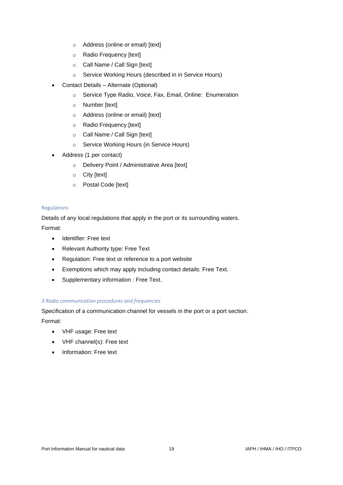- o Address (online or email) [text]
- o Radio Frequency [text]
- o Call Name / Call Sign [text]
- o Service Working Hours (described in in Service Hours)
- Contact Details Alternate (Optional)
	- o Service Type Radio, Voice, Fax, Email, Online: Enumeration
	- o Number [text]
	- o Address (online or email) [text]
	- o Radio Frequency [text]
	- o Call Name / Call Sign [text]
	- o Service Working Hours (in Service Hours)
- Address (1 per contact)
	- o Delivery Point / Administrative Area [text]
	- o City [text]
	- o Postal Code [text]

#### Regulations

Details of any local regulations that apply in the port or its surrounding waters. Format:

- Identifier: Free text
- Relevant Authority type: Free Text
- Regulation: Free text or reference to a port website
- Exemptions which may apply including contact details: Free Text.
- Supplementary information : Free Text.

## *3 Radio communication procedures and frequencies*

Specification of a communication channel for vessels in the port or a port section.

Format:

- VHF usage: Free text
- VHF channel(s): Free text
- Information: Free text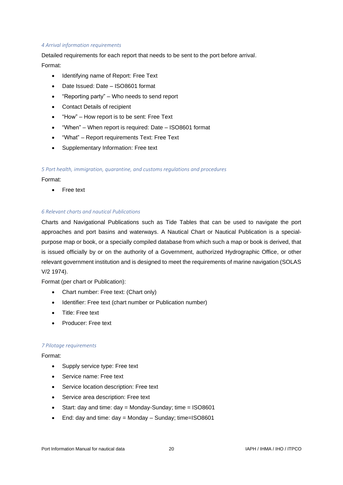#### *4 Arrival information requirements*

Detailed requirements for each report that needs to be sent to the port before arrival. Format:

- Identifying name of Report: Free Text
- Date Issued: Date ISO8601 format
- "Reporting party" Who needs to send report
- Contact Details of recipient
- "How" How report is to be sent: Free Text
- "When" When report is required: Date ISO8601 format
- "What" Report requirements Text: Free Text
- Supplementary Information: Free text

#### *5 Port health, immigration, quarantine, and customs regulations and procedures*

#### Format:

• Free text

#### *6 Relevant charts and nautical Publications*

Charts and Navigational Publications such as Tide Tables that can be used to navigate the port approaches and port basins and waterways. A Nautical Chart or Nautical Publication is a specialpurpose map or book, or a specially compiled database from which such a map or book is derived, that is issued officially by or on the authority of a Government, authorized Hydrographic Office, or other relevant government institution and is designed to meet the requirements of marine navigation (SOLAS V/2 1974).

Format (per chart or Publication):

- Chart number: Free text: (Chart only)
- Identifier: Free text (chart number or Publication number)
- Title: Free text
- Producer: Free text

#### *7 Pilotage requirements*

#### Format:

- Supply service type: Free text
- Service name: Free text
- Service location description: Free text
- Service area description: Free text
- Start: day and time:  $day =$  Monday-Sunday; time  $=$  ISO8601
- End: day and time: day = Monday Sunday; time=ISO8601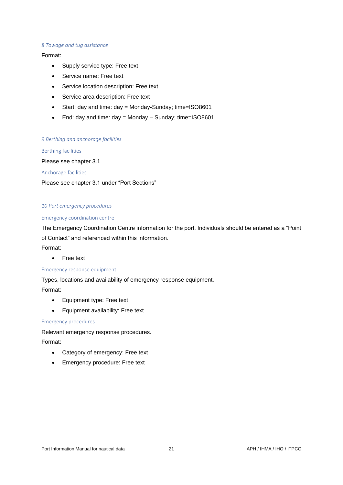#### *8 Towage and tug assistance*

#### Format:

- Supply service type: Free text
- Service name: Free text
- Service location description: Free text
- Service area description: Free text
- Start: day and time: day = Monday-Sunday; time=ISO8601
- End: day and time: day = Monday Sunday; time=ISO8601

#### *9 Berthing and anchorage facilities*

Berthing facilities

Please see chapter 3.1

Anchorage facilities

Please see chapter 3.1 under "Port Sections"

#### *10 Port emergency procedures*

#### Emergency coordination centre

The Emergency Coordination Centre information for the port. Individuals should be entered as a "Point of Contact" and referenced within this information.

## Format:

• Free text

#### Emergency response equipment

Types, locations and availability of emergency response equipment.

Format:

- Equipment type: Free text
- Equipment availability: Free text

Emergency procedures

Relevant emergency response procedures.

Format:

- Category of emergency: Free text
- Emergency procedure: Free text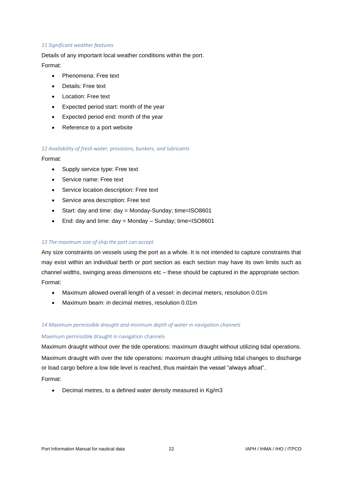#### *11 Significant weather features*

Details of any important local weather conditions within the port. Format:

- Phenomena: Free text
- Details: Free text
- Location: Free text
- Expected period start: month of the year
- Expected period end: month of the year
- Reference to a port website

#### *12 Availability of fresh water, provisions, bunkers, and lubricants*

Format:

- Supply service type: Free text
- Service name: Free text
- Service location description: Free text
- Service area description: Free text
- Start: day and time: day = Monday-Sunday; time=ISO8601
- End: day and time: day = Monday Sunday; time=ISO8601

#### *13 The maximum size of ship the port can accept*

Any size constraints on vessels using the port as a whole. It is not intended to capture constraints that may exist within an individual berth or port section as each section may have its own limits such as channel widths, swinging areas dimensions etc – these should be captured in the appropriate section. Format:

- Maximum allowed overall length of a vessel: in decimal meters, resolution 0.01m
- Maximum beam: in decimal metres, resolution 0.01m

## *14 Maximum permissible draught and minimum depth of water in navigation channels*

#### Maximum permissible draught in navigation channels

Maximum draught without over the tide operations: maximum draught without utilizing tidal operations. Maximum draught with over the tide operations: maximum draught utilising tidal changes to discharge or load cargo before a low tide level is reached, thus maintain the vessel "always afloat". Format:

• Decimal metres, to a defined water density measured in Kg/m3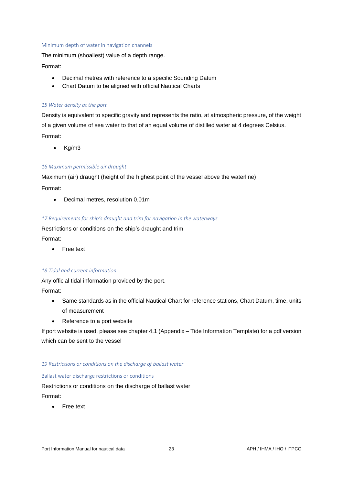#### Minimum depth of water in navigation channels

The minimum (shoaliest) value of a depth range.

### Format:

- Decimal metres with reference to a specific Sounding Datum
- Chart Datum to be aligned with official Nautical Charts

#### *15 Water density at the port*

Density is equivalent to specific gravity and represents the ratio, at atmospheric pressure, of the weight of a given volume of sea water to that of an equal volume of distilled water at 4 degrees Celsius. Format:

• Kg/m3

#### *16 Maximum permissible air draught*

Maximum (air) draught (height of the highest point of the vessel above the waterline).

Format:

• Decimal metres, resolution 0.01m

#### *17 Requirements for ship's draught and trim for navigation in the waterways*

Restrictions or conditions on the ship's draught and trim Format:

• Free text

#### *18 Tidal and current information*

Any official tidal information provided by the port.

Format:

- Same standards as in the official Nautical Chart for reference stations, Chart Datum, time, units of measurement
- Reference to a port website

If port website is used, please see chapter 4.1 (Appendix – Tide Information Template) for a pdf version which can be sent to the vessel

#### *19 Restrictions or conditions on the discharge of ballast water*

#### Ballast water discharge restrictions or conditions

Restrictions or conditions on the discharge of ballast water Format:

• Free text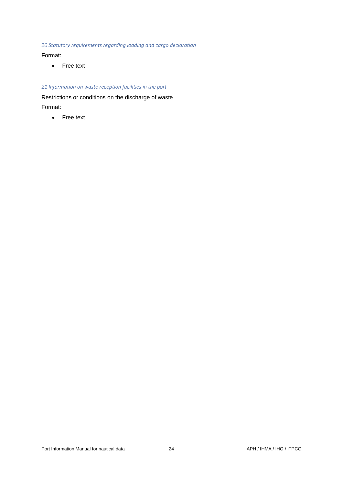*20 Statutory requirements regarding loading and cargo declaration*

## Format:

• Free text

# *21 Information on waste reception facilities in the port*

Restrictions or conditions on the discharge of waste Format:

• Free text